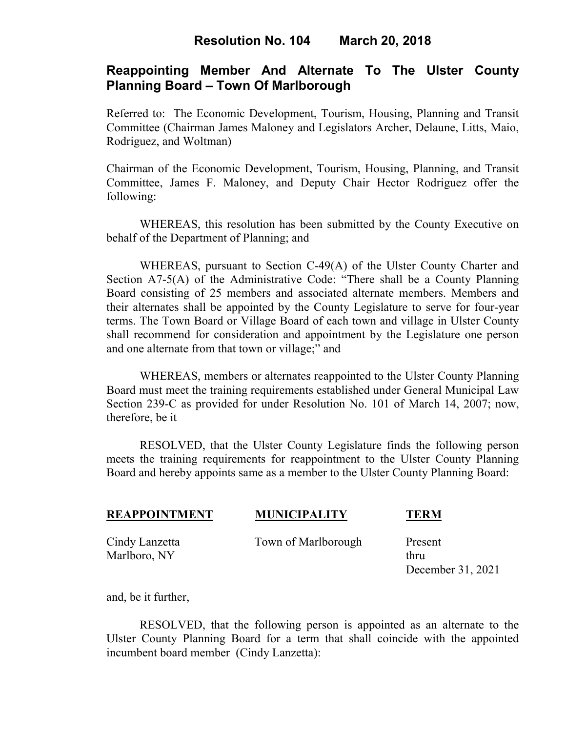## **Resolution No. 104 March 20, 2018**

# **Reappointing Member And Alternate To The Ulster County Planning Board – Town Of Marlborough**

Referred to: The Economic Development, Tourism, Housing, Planning and Transit Committee (Chairman James Maloney and Legislators Archer, Delaune, Litts, Maio, Rodriguez, and Woltman)

Chairman of the Economic Development, Tourism, Housing, Planning, and Transit Committee, James F. Maloney, and Deputy Chair Hector Rodriguez offer the following:

WHEREAS, this resolution has been submitted by the County Executive on behalf of the Department of Planning; and

WHEREAS, pursuant to Section C-49(A) of the Ulster County Charter and Section A7-5(A) of the Administrative Code: "There shall be a County Planning Board consisting of 25 members and associated alternate members. Members and their alternates shall be appointed by the County Legislature to serve for four-year terms. The Town Board or Village Board of each town and village in Ulster County shall recommend for consideration and appointment by the Legislature one person and one alternate from that town or village;" and

WHEREAS, members or alternates reappointed to the Ulster County Planning Board must meet the training requirements established under General Municipal Law Section 239-C as provided for under Resolution No. 101 of March 14, 2007; now, therefore, be it

RESOLVED, that the Ulster County Legislature finds the following person meets the training requirements for reappointment to the Ulster County Planning Board and hereby appoints same as a member to the Ulster County Planning Board:

| <b>REAPPOINTMENT</b>           | <b>MUNICIPALITY</b> | <b>TERM</b>                          |
|--------------------------------|---------------------|--------------------------------------|
| Cindy Lanzetta<br>Marlboro, NY | Town of Marlborough | Present<br>thru<br>December 31, 2021 |

and, be it further,

RESOLVED, that the following person is appointed as an alternate to the Ulster County Planning Board for a term that shall coincide with the appointed incumbent board member (Cindy Lanzetta):